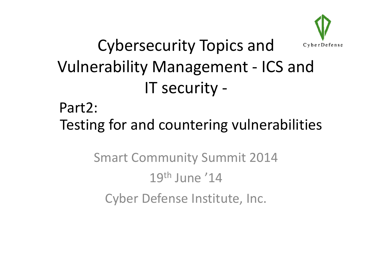

# **Cybersecurity Topics and Vulnerability Management - ICS and** IT security -

### Part2: Testing for and countering vulnerabilities

**Smart Community Summit 2014**  $19<sup>th</sup>$  June '14 Cyber Defense Institute, Inc.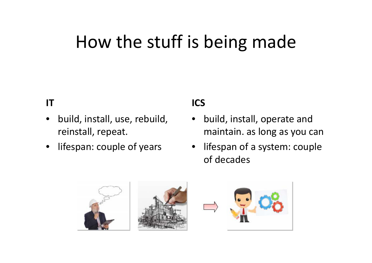# How the stuff is being made

#### **IT**

- • build, install, use, rebuild, reinstall, repeat
- •lifespan: couple of years

#### **ICS**

- • build, install, operate and reinstall, repeat. maintain as long as you can maintain.
	- • lifespan of <sup>a</sup> system: couple of decades



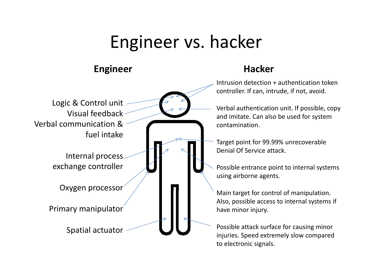# Engineer vs. hacker

#### **Engineer Hacker**



Intrusion detection <sup>+</sup> authentication token controller. If can, intrude, if not, avoid.

Verbal authentication unit. If possible, copy and imitate. Can also be used for system contamination.

Target point for 99.99% unrecoverable Denial Of Service attack.

Possible entrance point to internal systems using airborne agents.

Also, possible access to internal systems if have minor injury.

to electronic signals.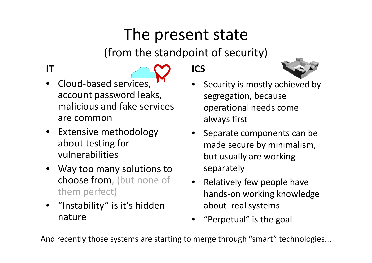### The present state

(from the standpoint of security)

#### **IT**

- •● Cloud-based services, account password leaks, malicious and fake services are common
- Extensive methodology about testing for vulnerabilities
- • Way too many solutions to **choose from**, (but none of them perfect)
- "Instability" is it's hidden nature

**ICS**



- • Security is mostly achieved by segregation, because operational needs come always first
- y separate components can be •made secure by minimalism, but usually are working<br>separately
- Relatively few people have hands-on working knowledge (a) hands-on working knowledge about real systems
	- •"Perpetual" is the goal

And recently those systems are starting to merge through "smart" technologies...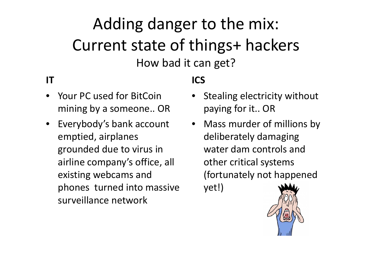### Adding danger to the mix: Current state of things+ hackers How bad it can get?

#### **IT**

- • Your PC used for BitCoin mining by <sup>a</sup> someone.. OR
- Everybody's bank account emptied, airplanes grounded due to virus in airline company's office, all existing webcams and phones turned into massive yet!) surveillance network

### **ICS**

- Stealing electricity without paying for it.. OR
- Mass murder of millions by deliberately damaging water dam controls and other critical systems (fortunately not happened yet!)

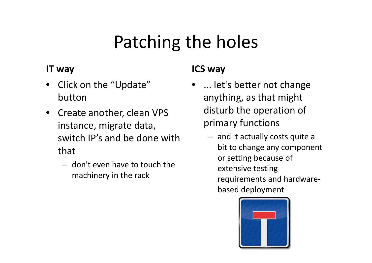# Patching the holes

#### **IT**

- Click on the "Update" button
- Create another, clean VPS instance, migrate data, switch IP's and be done with that
	- don't even have to touch the machinery in the rack

#### **way ICS way**

- ... let's better not change anything, as that might disturb the operation of primary functions
	- and it actually costs quite <sup>a</sup> bit to change any component or setting because of g extensive testing requirements and hardware‐ based deployment

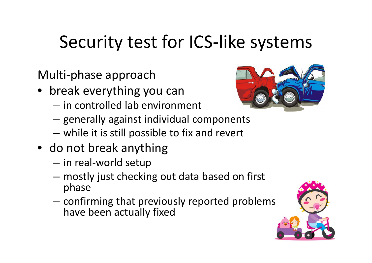# Security test for ICS‐like systems

Multi-phase approach

- break everything you can
	- $-$  in controlled lab environment
	- – $-$  generally against individual components
	- –while it is still possible to fix and revert
- do not break anything
	- –in real‐world setup
	- – mostly just checking out data based on first phase
	- – $-$  confirming that previously reported problems have been actually fixed



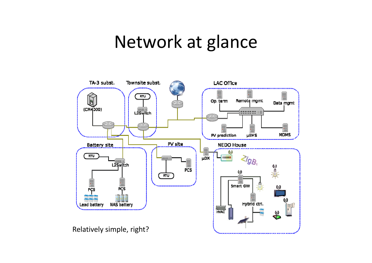### Network at glance

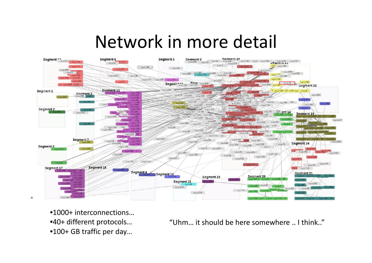### Network in more detail



•1000+ interconnections…

•40+ different protocols...

•100+ GB traffic per day…

+ different protocols… "Uhm... it should be here somewhere .. I think.."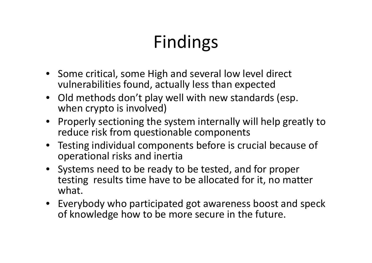# Findings

- Some critical, some High and several low level direct vulnerabilities found, actually less than expected
- Old methods don't play well with new standards (esp. when crypto is involved)
- Properly sectioning the system internally will help greatly to reduce risk from questionable components
- Testing individual components before is crucial because of operational risks and inertia
- Systems need to be ready to be tested, and for proper testing results time have to be allocated for it, no matter what.
- Everybody who participated got awareness boost and speck of knowledge how to be more secure in the future.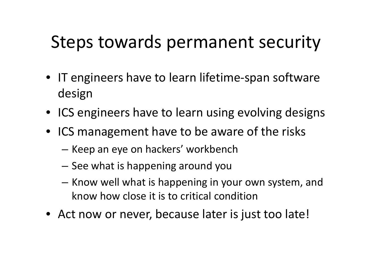# Steps towards permanent security

- IT engineers have to learn lifetime‐span software design
- ICS engineers have to learn using evolving designs
- ICS management have to be aware of the risks
	- –— Keep an eye on hackers' workbench
	- – $-$  See what is happening around you
	- Know well what is happening in your own system, and know how close it is to critical condition
- Act now or never, because later is just too late!